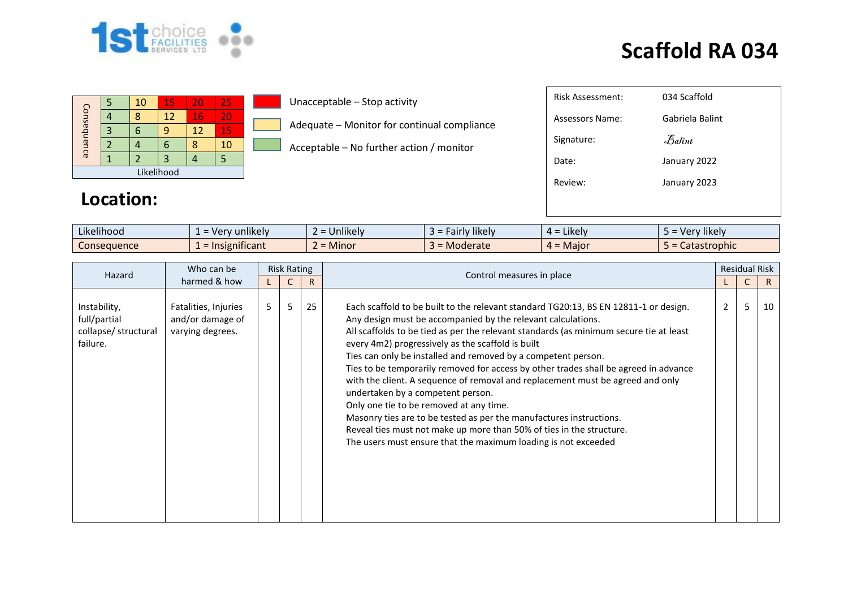

| Consequence |  | 10 | 15 | 20 | 25 |  |  |  |  |  |  |
|-------------|--|----|----|----|----|--|--|--|--|--|--|
|             |  |    | 12 | 16 | 20 |  |  |  |  |  |  |
|             |  | q  |    | 12 | 15 |  |  |  |  |  |  |
|             |  |    | n  |    | 10 |  |  |  |  |  |  |
|             |  |    | З  |    |    |  |  |  |  |  |  |
| Likelihood  |  |    |    |    |    |  |  |  |  |  |  |

#### Unacceptable – Stop activity

Adequate – Monitor for continual compliance

Acceptable – No further action / monitor

| Risk Assessment: | 034 Scaffold                   |
|------------------|--------------------------------|
| Assessors Name:  | Gabriela Balint                |
| Signature:       | $\mathcal{B}_{\mathit{abint}}$ |
| Date:            | January 2022                   |
| Review:          | January 2023                   |
|                  |                                |
|                  |                                |

#### **Location:**

| $\cdots$<br>$-1.1$<br>Likelihood | .<br>unlikely<br>$\sqrt{2}$<br>$ \cdot$<br>$-$<br>$\mathbf{v}$ | $\cdots$<br><b>Jnlikely</b> | airly likely and a<br>-9 - | $\cdots$<br>$=$ Likely<br>д. | $\cdots$<br>Very likely |
|----------------------------------|----------------------------------------------------------------|-----------------------------|----------------------------|------------------------------|-------------------------|
| Consequence                      | .<br>nsignificant<br>ΞIΓ                                       | <b>Minor</b>                | Moderate                   | - Major<br><u>. .</u>        | tastrophic<br>calasli   |

| Who can be<br>Hazard                                             |                                                              | <b>Risk Rating</b> |   |    |                                                                                                                                                                                                                                                                                                                                                                                                                                                                                                                                                                                                                                                                                                                                                                                                                                                 |                | <b>Residual Risk</b> |    |
|------------------------------------------------------------------|--------------------------------------------------------------|--------------------|---|----|-------------------------------------------------------------------------------------------------------------------------------------------------------------------------------------------------------------------------------------------------------------------------------------------------------------------------------------------------------------------------------------------------------------------------------------------------------------------------------------------------------------------------------------------------------------------------------------------------------------------------------------------------------------------------------------------------------------------------------------------------------------------------------------------------------------------------------------------------|----------------|----------------------|----|
| harmed & how                                                     |                                                              |                    |   | R  | Control measures in place                                                                                                                                                                                                                                                                                                                                                                                                                                                                                                                                                                                                                                                                                                                                                                                                                       |                |                      | R. |
| Instability,<br>full/partial<br>collapse/ structural<br>failure. | Fatalities, Injuries<br>and/or damage of<br>varying degrees. | 5                  | 5 | 25 | Each scaffold to be built to the relevant standard TG20:13, BS EN 12811-1 or design.<br>Any design must be accompanied by the relevant calculations.<br>All scaffolds to be tied as per the relevant standards (as minimum secure tie at least<br>every 4m2) progressively as the scaffold is built<br>Ties can only be installed and removed by a competent person.<br>Ties to be temporarily removed for access by other trades shall be agreed in advance<br>with the client. A sequence of removal and replacement must be agreed and only<br>undertaken by a competent person.<br>Only one tie to be removed at any time.<br>Masonry ties are to be tested as per the manufactures instructions.<br>Reveal ties must not make up more than 50% of ties in the structure.<br>The users must ensure that the maximum loading is not exceeded | $\overline{2}$ | 5                    | 10 |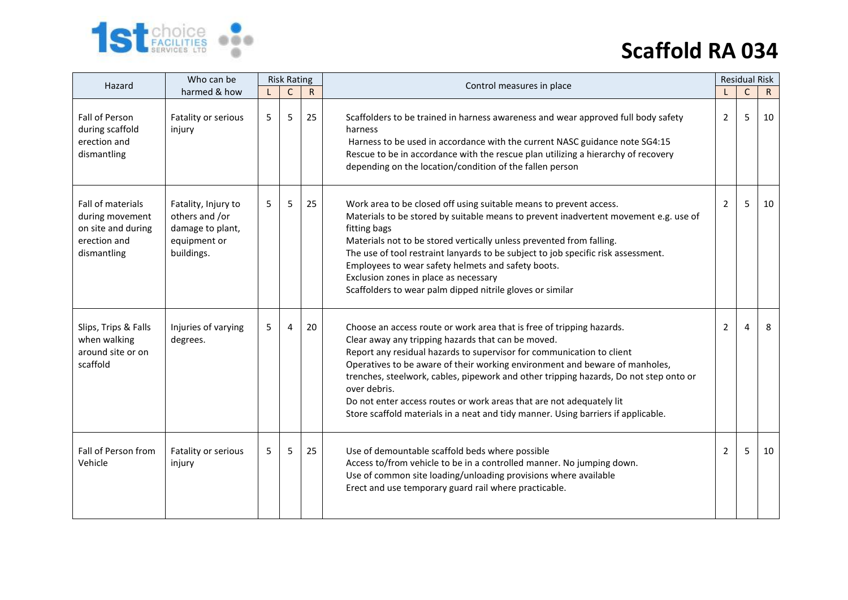

| Hazard                                                                                    | Who can be                                                                              | <b>Risk Rating</b> |              |              | Control measures in place                                                                                                                                                                                                                                                                                                                                                                                                                                                                                                                                 |                | <b>Residual Risk</b> |    |
|-------------------------------------------------------------------------------------------|-----------------------------------------------------------------------------------------|--------------------|--------------|--------------|-----------------------------------------------------------------------------------------------------------------------------------------------------------------------------------------------------------------------------------------------------------------------------------------------------------------------------------------------------------------------------------------------------------------------------------------------------------------------------------------------------------------------------------------------------------|----------------|----------------------|----|
|                                                                                           | harmed & how                                                                            |                    | $\mathsf{C}$ | $\mathsf{R}$ |                                                                                                                                                                                                                                                                                                                                                                                                                                                                                                                                                           |                | $\mathsf C$          | R. |
| Fall of Person<br>during scaffold<br>erection and<br>dismantling                          | Fatality or serious<br>injury                                                           | 5                  | 5            | 25           | Scaffolders to be trained in harness awareness and wear approved full body safety<br>harness<br>Harness to be used in accordance with the current NASC guidance note SG4:15<br>Rescue to be in accordance with the rescue plan utilizing a hierarchy of recovery<br>depending on the location/condition of the fallen person                                                                                                                                                                                                                              | $\overline{2}$ | 5                    | 10 |
| Fall of materials<br>during movement<br>on site and during<br>erection and<br>dismantling | Fatality, Injury to<br>others and /or<br>damage to plant,<br>equipment or<br>buildings. | 5                  | 5            | 25           | Work area to be closed off using suitable means to prevent access.<br>Materials to be stored by suitable means to prevent inadvertent movement e.g. use of<br>fitting bags<br>Materials not to be stored vertically unless prevented from falling.<br>The use of tool restraint lanyards to be subject to job specific risk assessment.<br>Employees to wear safety helmets and safety boots.<br>Exclusion zones in place as necessary<br>Scaffolders to wear palm dipped nitrile gloves or similar                                                       | 2              | 5                    | 10 |
| Slips, Trips & Falls<br>when walking<br>around site or on<br>scaffold                     | Injuries of varying<br>degrees.                                                         | 5                  | 4            | 20           | Choose an access route or work area that is free of tripping hazards.<br>Clear away any tripping hazards that can be moved.<br>Report any residual hazards to supervisor for communication to client<br>Operatives to be aware of their working environment and beware of manholes,<br>trenches, steelwork, cables, pipework and other tripping hazards, Do not step onto or<br>over debris.<br>Do not enter access routes or work areas that are not adequately lit<br>Store scaffold materials in a neat and tidy manner. Using barriers if applicable. | 2              | 4                    | 8  |
| Fall of Person from<br>Vehicle                                                            | Fatality or serious<br>injury                                                           | 5                  | 5.           | 25           | Use of demountable scaffold beds where possible<br>Access to/from vehicle to be in a controlled manner. No jumping down.<br>Use of common site loading/unloading provisions where available<br>Erect and use temporary guard rail where practicable.                                                                                                                                                                                                                                                                                                      | 2              | 5                    | 10 |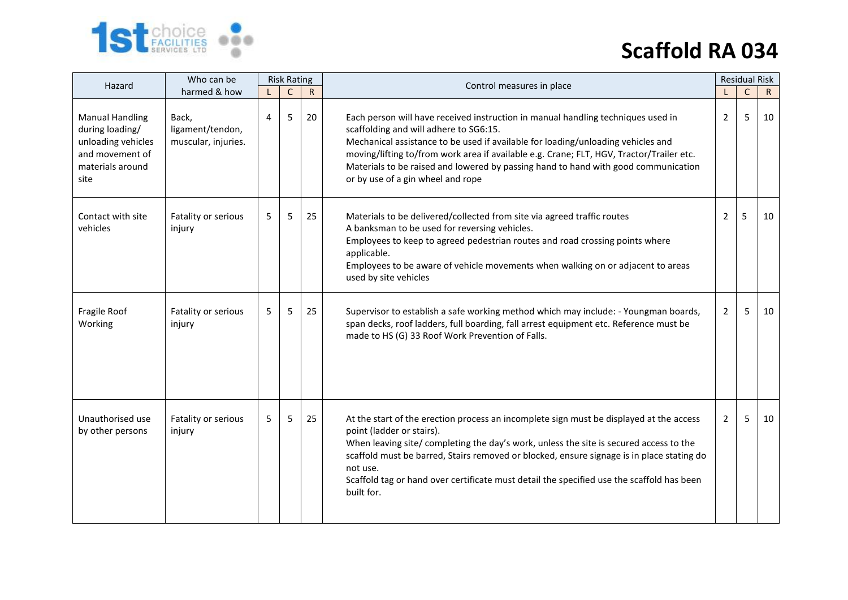

| Who can be<br>Hazard                                                                                           |                                                  | <b>Risk Rating</b> |              |              | Control measures in place                                                                                                                                                                                                                                                                                                                                                                                                             |                | <b>Residual Risk</b> |              |
|----------------------------------------------------------------------------------------------------------------|--------------------------------------------------|--------------------|--------------|--------------|---------------------------------------------------------------------------------------------------------------------------------------------------------------------------------------------------------------------------------------------------------------------------------------------------------------------------------------------------------------------------------------------------------------------------------------|----------------|----------------------|--------------|
|                                                                                                                | harmed & how                                     |                    | $\mathsf{C}$ | $\mathsf{R}$ |                                                                                                                                                                                                                                                                                                                                                                                                                                       |                | $\mathsf{C}$         | $\mathsf{R}$ |
| <b>Manual Handling</b><br>during loading/<br>unloading vehicles<br>and movement of<br>materials around<br>site | Back,<br>ligament/tendon,<br>muscular, injuries. | 4                  | 5            | 20           | Each person will have received instruction in manual handling techniques used in<br>scaffolding and will adhere to SG6:15.<br>Mechanical assistance to be used if available for loading/unloading vehicles and<br>moving/lifting to/from work area if available e.g. Crane; FLT, HGV, Tractor/Trailer etc.<br>Materials to be raised and lowered by passing hand to hand with good communication<br>or by use of a gin wheel and rope | $\overline{2}$ | 5                    | 10           |
| Contact with site<br>vehicles                                                                                  | Fatality or serious<br>injury                    | 5                  | 5            | 25           | Materials to be delivered/collected from site via agreed traffic routes<br>A banksman to be used for reversing vehicles.<br>Employees to keep to agreed pedestrian routes and road crossing points where<br>applicable.<br>Employees to be aware of vehicle movements when walking on or adjacent to areas<br>used by site vehicles                                                                                                   | 2              | 5                    | 10           |
| Fragile Roof<br>Working                                                                                        | Fatality or serious<br>injury                    | 5                  | 5            | 25           | Supervisor to establish a safe working method which may include: - Youngman boards,<br>span decks, roof ladders, full boarding, fall arrest equipment etc. Reference must be<br>made to HS (G) 33 Roof Work Prevention of Falls.                                                                                                                                                                                                      | $\overline{2}$ | 5                    | 10           |
| Unauthorised use<br>by other persons                                                                           | Fatality or serious<br>injury                    | 5                  | 5            | 25           | At the start of the erection process an incomplete sign must be displayed at the access<br>point (ladder or stairs).<br>When leaving site/ completing the day's work, unless the site is secured access to the<br>scaffold must be barred, Stairs removed or blocked, ensure signage is in place stating do<br>not use.<br>Scaffold tag or hand over certificate must detail the specified use the scaffold has been<br>built for.    | 2              | 5                    | 10           |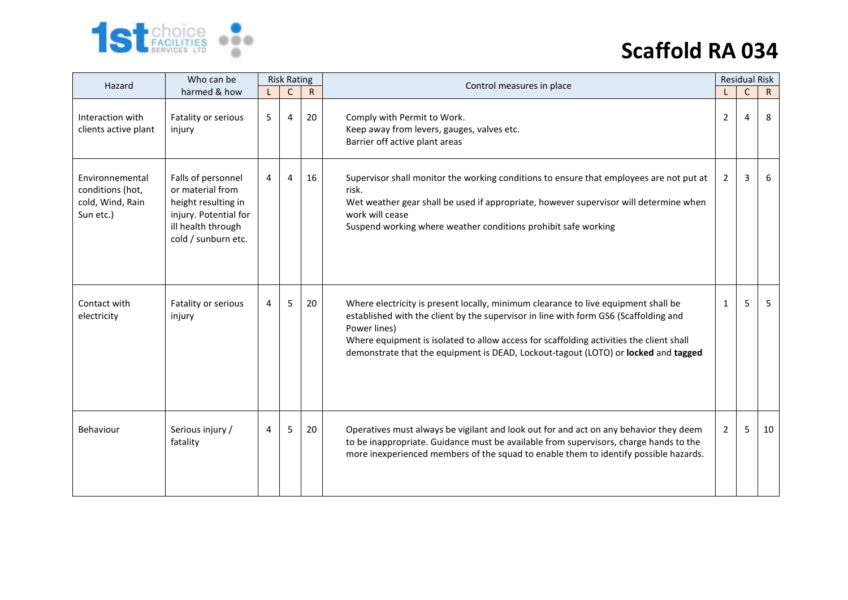

| Who can be<br>Hazard                                                 |                                                                                                                                     | <b>Risk Rating</b> |              |              | Control measures in place                                                                                                                                                                                                                                                                                                                                                   |                | <b>Residual Risk</b> |              |
|----------------------------------------------------------------------|-------------------------------------------------------------------------------------------------------------------------------------|--------------------|--------------|--------------|-----------------------------------------------------------------------------------------------------------------------------------------------------------------------------------------------------------------------------------------------------------------------------------------------------------------------------------------------------------------------------|----------------|----------------------|--------------|
|                                                                      | harmed & how                                                                                                                        |                    | $\mathsf{C}$ | $\mathsf{R}$ |                                                                                                                                                                                                                                                                                                                                                                             |                | $\mathsf{C}$         | $\mathsf{R}$ |
| Interaction with<br>clients active plant                             | Fatality or serious<br>injury                                                                                                       | 5                  | 4            | 20           | Comply with Permit to Work.<br>Keep away from levers, gauges, valves etc.<br>Barrier off active plant areas                                                                                                                                                                                                                                                                 | 2              | 4                    | 8            |
| Environnemental<br>conditions (hot,<br>cold, Wind, Rain<br>Sun etc.) | Falls of personnel<br>or material from<br>height resulting in<br>injury. Potential for<br>ill health through<br>cold / sunburn etc. | 4                  | 4            | 16           | Supervisor shall monitor the working conditions to ensure that employees are not put at<br>risk.<br>Wet weather gear shall be used if appropriate, however supervisor will determine when<br>work will cease<br>Suspend working where weather conditions prohibit safe working                                                                                              | $\overline{2}$ | 3                    | 6            |
| Contact with<br>electricity                                          | Fatality or serious<br>injury                                                                                                       | 4                  | 5            | 20           | Where electricity is present locally, minimum clearance to live equipment shall be<br>established with the client by the supervisor in line with form GS6 (Scaffolding and<br>Power lines)<br>Where equipment is isolated to allow access for scaffolding activities the client shall<br>demonstrate that the equipment is DEAD, Lockout-tagout (LOTO) or locked and tagged | 1              | 5                    | 5            |
| Behaviour                                                            | Serious injury /<br>fatality                                                                                                        | 4                  | 5            | 20           | Operatives must always be vigilant and look out for and act on any behavior they deem<br>to be inappropriate. Guidance must be available from supervisors, charge hands to the<br>more inexperienced members of the squad to enable them to identify possible hazards.                                                                                                      | $\overline{2}$ | 5                    | 10           |